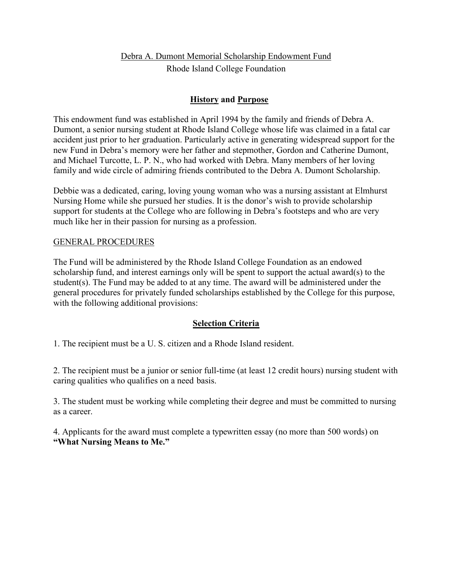# Debra A. Dumont Memorial Scholarship Endowment Fund

Rhode Island College Foundation

## **History and Purpose**

This endowment fund was established in April 1994 by the family and friends of Debra A. Dumont, a senior nursing student at Rhode Island College whose life was claimed in a fatal car accident just prior to her graduation. Particularly active in generating widespread support for the new Fund in Debra's memory were her father and stepmother, Gordon and Catherine Dumont, and Michael Turcotte, L. P. N., who had worked with Debra. Many members of her loving family and wide circle of admiring friends contributed to the Debra A. Dumont Scholarship.

Debbie was a dedicated, caring, loving young woman who was a nursing assistant at Elmhurst Nursing Home while she pursued her studies. It is the donor's wish to provide scholarship support for students at the College who are following in Debra's footsteps and who are very much like her in their passion for nursing as a profession.

## GENERAL PROCEDURES

The Fund will be administered by the Rhode Island College Foundation as an endowed scholarship fund, and interest earnings only will be spent to support the actual award(s) to the student(s). The Fund may be added to at any time. The award will be administered under the general procedures for privately funded scholarships established by the College for this purpose, with the following additional provisions:

## **Selection Criteria**

1. The recipient must be a U. S. citizen and a Rhode Island resident.

2. The recipient must be a junior or senior full-time (at least 12 credit hours) nursing student with caring qualities who qualifies on a need basis.

3. The student must be working while completing their degree and must be committed to nursing as a career.

4. Applicants for the award must complete a typewritten essay (no more than 500 words) on **"What Nursing Means to Me."**